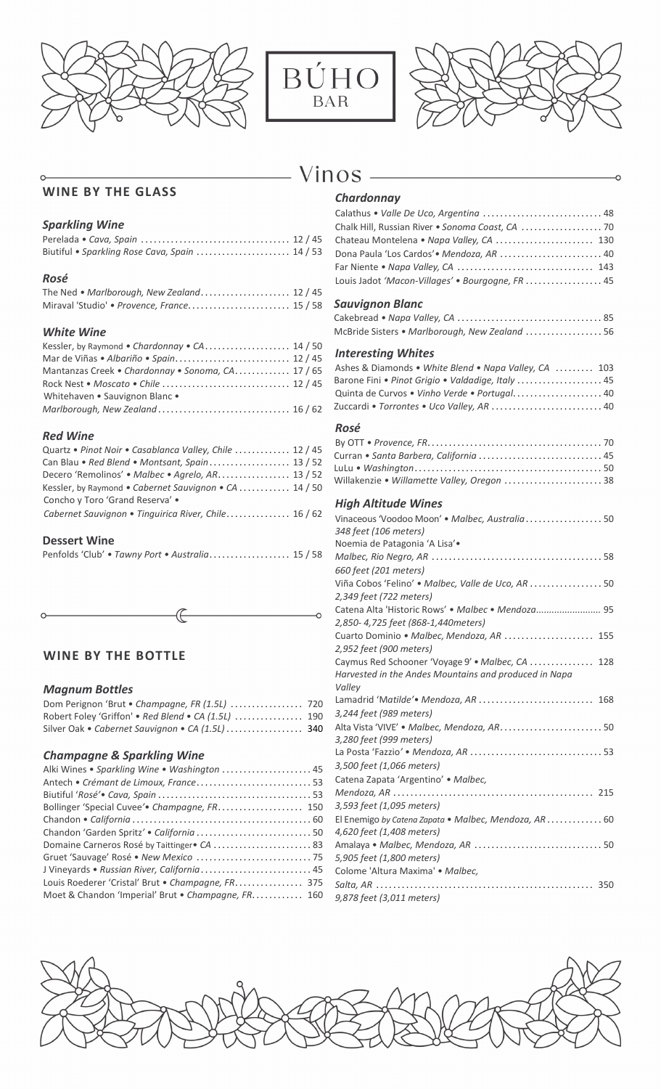





## - Vinos -

## **WINE BY THE GLASS**

## *Sparkling Wine*

| Biutiful • Sparkling Rose Cava, Spain  14 / 53 |  |
|------------------------------------------------|--|

### *Rosé*

| The Ned • Marlborough, New Zealand 12 / 45  |  |
|---------------------------------------------|--|
| Miraval 'Studio' • Provence, France 15 / 58 |  |

### *White Wine*

| Kessler, by Raymond • Chardonnay • CA 14 / 50     |  |
|---------------------------------------------------|--|
|                                                   |  |
| Mantanzas Creek • Chardonnay • Sonoma, CA 17 / 65 |  |
|                                                   |  |
| Whitehaven • Sauvignon Blanc •                    |  |
|                                                   |  |

#### *Red Wine*

| Quartz • Pinot Noir • Casablanca Valley, Chile  12 / 45 |  |
|---------------------------------------------------------|--|
|                                                         |  |
| Decero 'Remolinos' • Malbec • Agrelo, AR 13 / 52        |  |
| Kessler, by Raymond • Cabernet Sauvignon • CA  14 / 50  |  |
| Concho y Toro 'Grand Reserva' .                         |  |
| Cabernet Sauvignon • Tinguirica River, Chile 16 / 62    |  |

## **Dessert Wine**

|  |  | Penfolds 'Club' . Tawny Port . Australia 15 / 58 |  |
|--|--|--------------------------------------------------|--|
|--|--|--------------------------------------------------|--|

## **WINE BY THE BOTTLE**

### *Magnum Bottles*

| Dom Perignon 'Brut . Champagne, FR (1.5L)  720      |  |
|-----------------------------------------------------|--|
| Robert Foley 'Griffon' • Red Blend • CA (1.5L)  190 |  |
| Silver Oak • Cabernet Sauvignon • CA (1.5L)  340    |  |

## *Champagne & Sparkling Wine*

| Alki Wines . Sparkling Wine . Washington  45         |  |
|------------------------------------------------------|--|
|                                                      |  |
|                                                      |  |
| Bollinger 'Special Cuvee'. Champagne, FR.  150       |  |
|                                                      |  |
| Chandon 'Garden Spritz' · California  50             |  |
| Domaine Carneros Rosé by Taittinger CA  83           |  |
|                                                      |  |
| J Vineyards · Russian River, California 45           |  |
| Louis Roederer 'Cristal' Brut . Champagne, FR.  375  |  |
| Moet & Chandon 'Imperial' Brut • Champagne, FR.  160 |  |
|                                                      |  |

## *Chardonnay*

| Calathus . Valle De Uco, Argentina  48           |  |
|--------------------------------------------------|--|
| Chalk Hill, Russian River . Sonoma Coast, CA  70 |  |
| Chateau Montelena • Napa Valley, CA  130         |  |
| Dona Paula 'Los Cardos' • Mendoza, AR  40        |  |
|                                                  |  |
| Louis Jadot 'Macon-Villages' · Bourgogne, FR  45 |  |

### *Sauvignon Blanc*

| McBride Sisters • Marlborough, New Zealand  56 |  |
|------------------------------------------------|--|

### *Interesting Whites*

#### Ashes & Diamonds *• White Blend • Napa Valley, CA* ......... 103 Barone Fini *• Pinot Grigio • Valdadige, Italy* .................... 45 Quinta de Curvos *• Vinho Verde • Portugal*..................... 40 Zuccardi *• Torrontes • Uco Valley, AR* .......................... 40

## *Rosé*

| Curran • Santa Barbera, California  45      |  |
|---------------------------------------------|--|
|                                             |  |
| Willakenzie • Willamette Valley, Oregon  38 |  |

## *High Altitude Wines*

| Vinaceous 'Voodoo Moon' . Malbec, Australia 50<br>348 feet (106 meters) |
|-------------------------------------------------------------------------|
| Noemia de Patagonia 'A Lisa'.                                           |
|                                                                         |
| 660 feet (201 meters)                                                   |
| Viña Cobos 'Felino' • Malbec, Valle de Uco, AR  50                      |
| 2,349 feet (722 meters)                                                 |
| Catena Alta 'Historic Rows' . Malbec . Mendoza 95                       |
| 2,850-4,725 feet (868-1,440meters)                                      |
| Cuarto Dominio • Malbec, Mendoza, AR  155                               |
| 2,952 feet (900 meters)                                                 |
| Caymus Red Schooner 'Voyage 9' . Malbec, CA  128                        |
| Harvested in the Andes Mountains and produced in Napa                   |
| Valley                                                                  |
| Lamadrid 'Matilde'. Mendoza, AR  168                                    |
| 3,244 feet (989 meters)                                                 |
| Alta Vista 'VIVE' · Malbec, Mendoza, AR 50                              |
| 3,280 feet (999 meters)                                                 |
|                                                                         |
| 3,500 feet (1,066 meters)                                               |
| Catena Zapata 'Argentino' . Malbec,                                     |
|                                                                         |
| 3,593 feet (1,095 meters)                                               |
| El Enemigo by Catena Zapata • Malbec, Mendoza, AR 60                    |
| 4,620 feet (1,408 meters)                                               |
|                                                                         |
| 5,905 feet (1,800 meters)                                               |
| Colome 'Altura Maxima' · Malbec,                                        |
|                                                                         |
| 9,878 feet (3,011 meters)                                               |